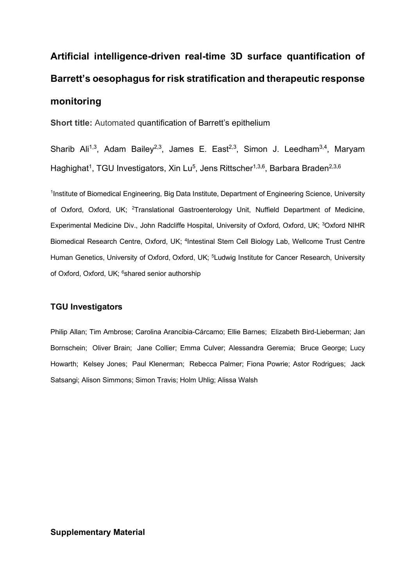# **Artificial intelligence-driven real-time 3D surface quantification of Barrett's oesophagus for risk stratification and therapeutic response monitoring**

**Short title:** Automated quantification of Barrett's epithelium

Sharib Ali<sup>1,3</sup>, Adam Bailey<sup>2,3</sup>, James E. East<sup>2,3</sup>, Simon J. Leedham<sup>3,4</sup>, Maryam Haghighat<sup>1</sup>, TGU Investigators, Xin Lu<sup>5</sup>, Jens Rittscher<sup>1,3,6</sup>, Barbara Braden<sup>2,3,6</sup>

<sup>1</sup>Institute of Biomedical Engineering, Big Data Institute, Department of Engineering Science, University of Oxford, Oxford, UK; <sup>2</sup>Translational Gastroenterology Unit, Nuffield Department of Medicine, Experimental Medicine Div., John Radcliffe Hospital, University of Oxford, Oxford, UK; <sup>3</sup>Oxford NIHR Biomedical Research Centre, Oxford, UK; <sup>4</sup>Intestinal Stem Cell Biology Lab, Wellcome Trust Centre Human Genetics, University of Oxford, Oxford, UK; <sup>5</sup>Ludwig Institute for Cancer Research, University of Oxford, Oxford, UK; <sup>6</sup>shared senior authorship

### **TGU Investigators**

Philip Allan; Tim Ambrose; Carolina Arancibia-Cárcamo; Ellie Barnes; Elizabeth Bird-Lieberman; Jan Bornschein; Oliver Brain; Jane Collier; Emma Culver; Alessandra Geremia; Bruce George; Lucy Howarth; Kelsey Jones; Paul Klenerman; Rebecca Palmer; Fiona Powrie; Astor Rodrigues; Jack Satsangi; Alison Simmons; Simon Travis; Holm Uhlig; Alissa Walsh

## **Supplementary Material**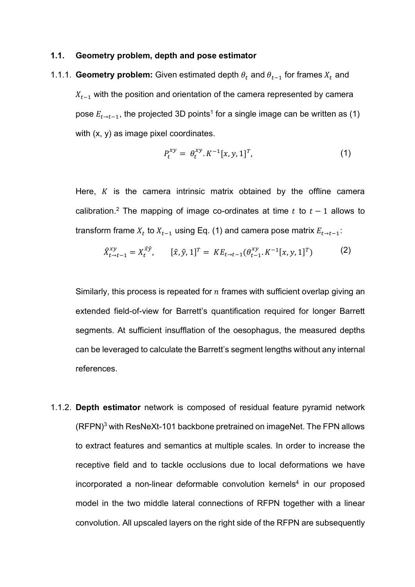#### **1.1. Geometry problem, depth and pose estimator**

1.1.1. **Geometry problem:** Given estimated depth  $\theta_t$  and  $\theta_{t-1}$  for frames  $X_t$  and  $X_{t-1}$  with the position and orientation of the camera represented by camera pose  $E_{t\rightarrow t-1}$ , the projected 3D points<sup>1</sup> for a single image can be written as (1) with (x, y) as image pixel coordinates.

$$
P_t^{xy} = \theta_t^{xy} . K^{-1}[x, y, 1]^T,
$$
\n(1)

Here,  $K$  is the camera intrinsic matrix obtained by the offline camera calibration.<sup>2</sup> The mapping of image co-ordinates at time  $t$  to  $t - 1$  allows to transform frame  $X_t$  to  $X_{t-1}$  using Eq. (1) and camera pose matrix  $E_{t\rightarrow t-1}$ :

$$
\hat{X}_{t \to t-1}^{xy} = X_t^{\hat{x}\hat{y}}, \qquad [\hat{x}, \hat{y}, 1]^T = KE_{t \to t-1}(\theta_{t-1}^{xy}, K^{-1}[x, y, 1]^T) \tag{2}
$$

Similarly, this process is repeated for  $n$  frames with sufficient overlap giving an extended field-of-view for Barrett's quantification required for longer Barrett segments. At sufficient insufflation of the oesophagus, the measured depths can be leveraged to calculate the Barrett's segment lengths without any internal references.

1.1.2. **Depth estimator** network is composed of residual feature pyramid network (RFPN)3 with ResNeXt-101 backbone pretrained on imageNet. The FPN allows to extract features and semantics at multiple scales. In order to increase the receptive field and to tackle occlusions due to local deformations we have incorporated a non-linear deformable convolution kernels<sup>4</sup> in our proposed model in the two middle lateral connections of RFPN together with a linear convolution. All upscaled layers on the right side of the RFPN are subsequently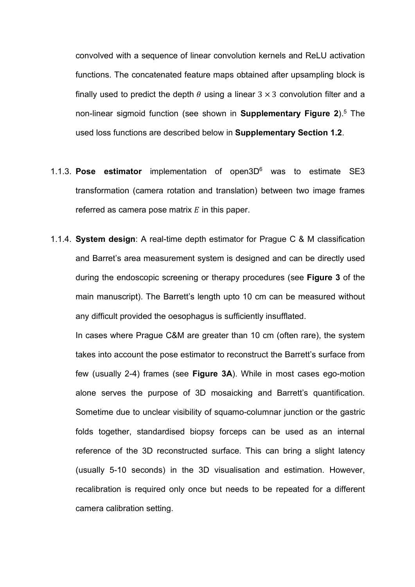convolved with a sequence of linear convolution kernels and ReLU activation functions. The concatenated feature maps obtained after upsampling block is finally used to predict the depth  $\theta$  using a linear 3  $\times$  3 convolution filter and a non-linear sigmoid function (see shown in **Supplementary Figure 2**).5 The used loss functions are described below in **Supplementary Section 1.2**.

- 1.1.3. **Pose estimator** implementation of open3D6 was to estimate SE3 transformation (camera rotation and translation) between two image frames referred as camera pose matrix  $E$  in this paper.
- 1.1.4. **System design**: A real-time depth estimator for Prague C & M classification and Barret's area measurement system is designed and can be directly used during the endoscopic screening or therapy procedures (see **Figure 3** of the main manuscript). The Barrett's length upto 10 cm can be measured without any difficult provided the oesophagus is sufficiently insufflated.

In cases where Prague C&M are greater than 10 cm (often rare), the system takes into account the pose estimator to reconstruct the Barrett's surface from few (usually 2-4) frames (see **Figure 3A**). While in most cases ego-motion alone serves the purpose of 3D mosaicking and Barrett's quantification. Sometime due to unclear visibility of squamo-columnar junction or the gastric folds together, standardised biopsy forceps can be used as an internal reference of the 3D reconstructed surface. This can bring a slight latency (usually 5-10 seconds) in the 3D visualisation and estimation. However, recalibration is required only once but needs to be repeated for a different camera calibration setting.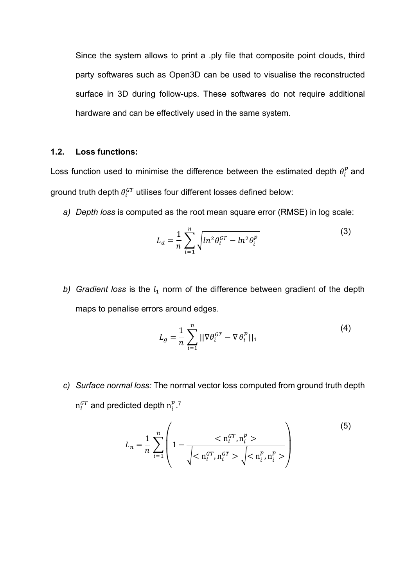Since the system allows to print a .ply file that composite point clouds, third party softwares such as Open3D can be used to visualise the reconstructed surface in 3D during follow-ups. These softwares do not require additional hardware and can be effectively used in the same system.

## **1.2. Loss functions:**

Loss function used to minimise the difference between the estimated depth  $\theta_i^p$  and ground truth depth  $\theta^{GT}_i$  utilises four different losses defined below:

*a) Depth loss* is computed as the root mean square error (RMSE) in log scale:

$$
L_d = \frac{1}{n} \sum_{i=1}^n \sqrt{ln^2 \theta_i^{GT} - ln^2 \theta_i^p}
$$
 (3)

b) Gradient loss is the  $l_1$  norm of the difference between gradient of the depth maps to penalise errors around edges.

$$
L_g = \frac{1}{n} \sum_{i=1}^n ||\nabla \theta_i^{GT} - \nabla \theta_i^p||_1
$$
 (4)

*c) Surface normal loss:* The normal vector loss computed from ground truth depth  $\mathrm{n}_i^{GT}$  and predicted depth  $\mathrm{n}_i^{p}$  .<sup>7</sup>

$$
L_n = \frac{1}{n} \sum_{i=1}^n \left( 1 - \frac{1}{\sqrt{1 - \left( \frac{n_i^{CT}}{n_i^{CT}}, n_i^{GT} > \sqrt{1 - \left( \frac{n_i^{DT}}{n_i^{CT}}, n_i^{GT} > \sqrt{1 - \left( \frac{n_i^{DT}}{n_i^{CT}}, n_i^{GT} > \sqrt{1 - \left( \frac{n_i^{DT}}{n_i^{CT}}, n_i^{GT} > \sqrt{1 - \left( \frac{n_i^{DT}}{n_i^{CT}}, n_i^{GT} > \sqrt{1 - \left( \frac{n_i^{DT}}{n_i^{CT}}, n_i^{GT} > \sqrt{1 - \left( \frac{n_i^{DT}}{n_i^{CT}}, n_i^{GT} > \sqrt{1 - \left( \frac{n_i^{DT}}{n_i^{CT}}, n_i^{GT} > \sqrt{1 - \left( \frac{n_i^{DT}}{n_i^{CT}}, n_i^{GT} > \sqrt{1 - \left( \frac{n_i^{DT}}{n_i^{CT}}, n_i^{GT} > \sqrt{1 - \left( \frac{n_i^{DT}}{n_i^{CT}}, n_i^{GT} > \sqrt{1 - \left( \frac{n_i^{DT}}{n_i^{CT}}, n_i^{GT} > \sqrt{1 - \left( \frac{n_i^{DT}}{n_i^{CT}}, n_i^{GT} > \sqrt{1 - \left( \frac{n_i^{DT}}{n_i^{CT}}, n_i^{GT} > \sqrt{1 - \left( \frac{n_i^{DT}}{n_i^{CT}}, n_i^{GT} > \sqrt{1 - \left( \frac{n_i^{DT}}{n_i^{CT}}, n_i^{GT} > \sqrt{1 - \left( \frac{n_i^{DT}}{n_i^{CT}}, n_i^{GT} > \sqrt{1 - \left( \frac{n_i^{DT}}{n_i^{CT}}, n_i^{GT} > \sqrt{1 - \left( \frac{n_i^{DT}}{n_i^{CT}}, n_i^{GT} > \sqrt{1 - \left( \frac{n_i^{DT}}{n_i^{CT}}, n_i^{GT} > \sqrt{1 - \left( \frac{n_i^{DT}}{n_i^{CT}}, n_i^{GT} > \sqrt{1 - \left( \frac{n_i^{DT}}{n_i^{CT}}, n_i^{GT} > \sqrt{1 - \left( \frac{n_i^{DT}}{n_i^{CT}}, n_i^{GT} > \sqrt{1 - \left( \frac{n_i^{DT}}{n_i^{CT}}, n_i^{GT} > \sqrt{1 - \left( \frac{n_i^{DT}}{n_i^{CT}}, n_i^{GT} > \sqrt{1 - \left( \frac{n_i^{DT}}{n_i^{CT}}, n_i^{GT} > \sqrt{1 - \left( \frac{n_i^{DT}}{n_i^{CT}}, n_i^{GT} >
$$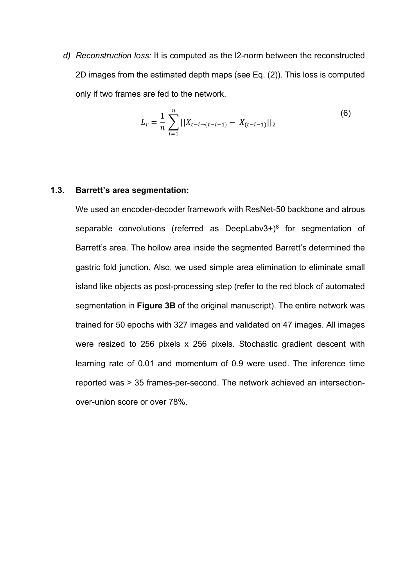*d) Reconstruction loss:* It is computed as the l2-norm between the reconstructed 2D images from the estimated depth maps (see Eq. (2)). This loss is computed only if two frames are fed to the network.

$$
L_r = \frac{1}{n} \sum_{i=1}^{n} ||X_{t-i \to (t-i-1)} - X_{(t-i-1)}||_2
$$
 (6)

#### **1.3. Barrett's area segmentation:**

We used an encoder-decoder framework with ResNet-50 backbone and atrous separable convolutions (referred as DeepLabv3+) $8$  for segmentation of Barrett's area. The hollow area inside the segmented Barrett's determined the gastric fold junction. Also, we used simple area elimination to eliminate small island like objects as post-processing step (refer to the red block of automated segmentation in **Figure 3B** of the original manuscript). The entire network was trained for 50 epochs with 327 images and validated on 47 images. All images were resized to 256 pixels x 256 pixels. Stochastic gradient descent with learning rate of 0.01 and momentum of 0.9 were used. The inference time reported was > 35 frames-per-second. The network achieved an intersectionover-union score or over 78%.